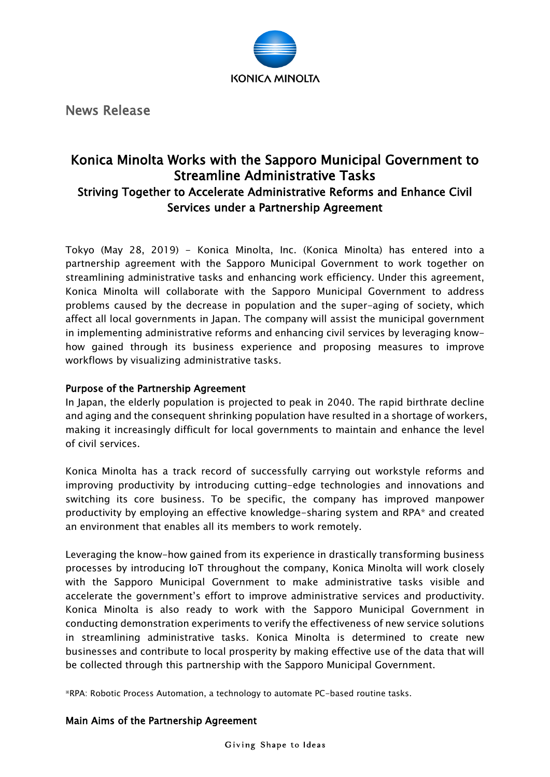

News Release

## Konica Minolta Works with the Sapporo Municipal Government to Streamline Administrative Tasks Striving Together to Accelerate Administrative Reforms and Enhance Civil Services under a Partnership Agreement

Tokyo (May 28, 2019) - Konica Minolta, Inc. (Konica Minolta) has entered into a partnership agreement with the Sapporo Municipal Government to work together on streamlining administrative tasks and enhancing work efficiency. Under this agreement, Konica Minolta will collaborate with the Sapporo Municipal Government to address problems caused by the decrease in population and the super-aging of society, which affect all local governments in Japan. The company will assist the municipal government in implementing administrative reforms and enhancing civil services by leveraging knowhow gained through its business experience and proposing measures to improve workflows by visualizing administrative tasks.

## Purpose of the Partnership Agreement

In Japan, the elderly population is projected to peak in 2040. The rapid birthrate decline and aging and the consequent shrinking population have resulted in a shortage of workers, making it increasingly difficult for local governments to maintain and enhance the level of civil services.

Konica Minolta has a track record of successfully carrying out workstyle reforms and improving productivity by introducing cutting-edge technologies and innovations and switching its core business. To be specific, the company has improved manpower productivity by employing an effective knowledge-sharing system and RPA\* and created an environment that enables all its members to work remotely.

Leveraging the know-how gained from its experience in drastically transforming business processes by introducing IoT throughout the company, Konica Minolta will work closely with the Sapporo Municipal Government to make administrative tasks visible and accelerate the government's effort to improve administrative services and productivity. Konica Minolta is also ready to work with the Sapporo Municipal Government in conducting demonstration experiments to verify the effectiveness of new service solutions in streamlining administrative tasks. Konica Minolta is determined to create new businesses and contribute to local prosperity by making effective use of the data that will be collected through this partnership with the Sapporo Municipal Government.

※RPA: Robotic Process Automation, a technology to automate PC-based routine tasks.

## Main Aims of the Partnership Agreement